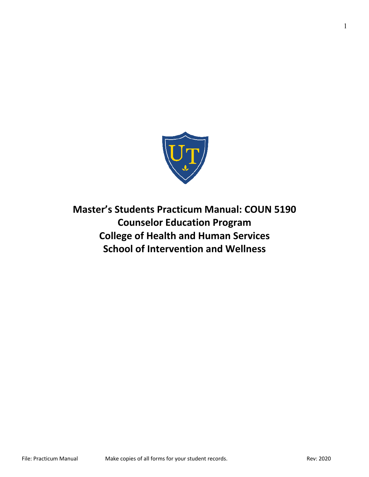

**Master's Students Practicum Manual: COUN 5190 Counselor Education Program College of Health and Human Services School of Intervention and Wellness**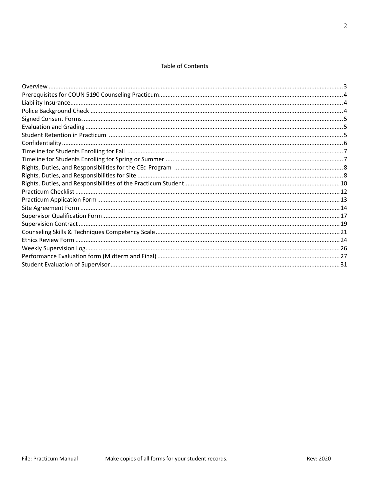## **Table of Contents**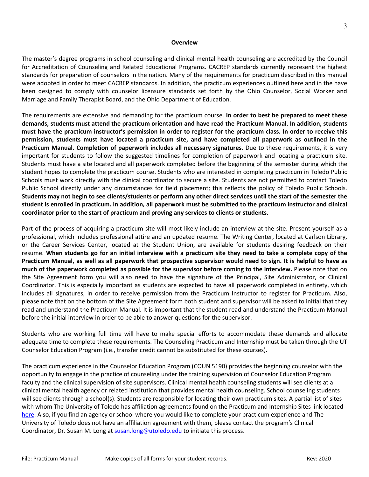#### **Overview**

The master's degree programs in school counseling and clinical mental health counseling are accredited by the Council for Accreditation of Counseling and Related Educational Programs. CACREP standards currently represent the highest standards for preparation of counselors in the nation. Many of the requirements for practicum described in this manual were adopted in order to meet CACREP standards. In addition, the practicum experiences outlined here and in the have been designed to comply with counselor licensure standards set forth by the Ohio Counselor, Social Worker and Marriage and Family Therapist Board, and the Ohio Department of Education.

The requirements are extensive and demanding for the practicum course. **In order to best be prepared to meet these demands, students must attend the practicum orientation and have read the Practicum Manual. In addition, students must have the practicum instructor's permission in order to register for the practicum class. In order to receive this permission, students must have located a practicum site, and have completed all paperwork as outlined in the Practicum Manual. Completion of paperwork includes all necessary signatures.** Due to these requirements, it is very important for students to follow the suggested timelines for completion of paperwork and locating a practicum site. Students must have a site located and all paperwork completed before the beginning of the semester during which the student hopes to complete the practicum course. Students who are interested in completing practicum in Toledo Public Schools must work directly with the clinical coordinator to secure a site. Students are not permitted to contact Toledo Public School directly under any circumstances for field placement; this reflects the policy of Toledo Public Schools. **Students may not begin to see clients/students or perform any other direct services until the start of the semester the student is enrolled in practicum. In addition, all paperwork must be submitted to the practicum instructor and clinical coordinator prior to the start of practicum and proving any services to clients or students.** 

Part of the process of acquiring a practicum site will most likely include an interview at the site. Present yourself as a professional, which includes professional attire and an updated resume. The Writing Center, located at Carlson Library, or the Career Services Center, located at the Student Union, are available for students desiring feedback on their resume. **When students go for an initial interview with a practicum site they need to take a complete copy of the Practicum Manual, as well as all paperwork that prospective supervisor would need to sign. It is helpful to have as much of the paperwork completed as possible for the supervisor before coming to the interview.** Please note that on the Site Agreement form you will also need to have the signature of the Principal, Site Administrator, or Clinical Coordinator. This is especially important as students are expected to have all paperwork completed in entirety, which includes all signatures, in order to receive permission from the Practicum Instructor to register for Practicum. Also, please note that on the bottom of the Site Agreement form both student and supervisor will be asked to initial that they read and understand the Practicum Manual. It is important that the student read and understand the Practicum Manual before the initial interview in order to be able to answer questions for the supervisor.

Students who are working full time will have to make special efforts to accommodate these demands and allocate adequate time to complete these requirements. The Counseling Practicum and Internship must be taken through the UT Counselor Education Program (i.e., transfer credit cannot be substituted for these courses).

The practicum experience in the Counselor Education Program (COUN 5190) provides the beginning counselor with the opportunity to engage in the practice of counseling under the training supervision of Counselor Education Program faculty and the clinical supervision of site supervisors. Clinical mental health counseling students will see clients at a clinical mental health agency or related institution that provides mental health counseling. School counseling students will see clients through a school(s). Students are responsible for locating their own practicum sites. A partial list of sites with whom The University of Toledo has affiliation agreements found on the Practicum and Internship Sites link located here. Also, if you find an agency or school where you would like to complete your practicum experience and The University of Toledo does not have an affiliation agreement with them, please contact the program's Clinical Coordinator, Dr. Susan M. Long at susan.long@utoledo.edu to initiate this process.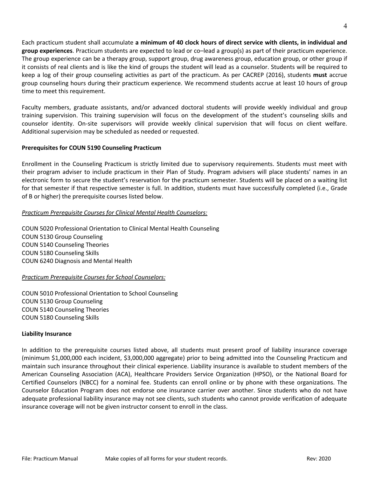Each practicum student shall accumulate **a minimum of 40 clock hours of direct service with clients, in individual and group experiences**. Practicum students are expected to lead or co–lead a group(s) as part of their practicum experience. The group experience can be a therapy group, support group, drug awareness group, education group, or other group if it consists of real clients and is like the kind of groups the student will lead as a counselor. Students will be required to keep a log of their group counseling activities as part of the practicum. As per CACREP (2016), students **must** accrue group counseling hours during their practicum experience. We recommend students accrue at least 10 hours of group time to meet this requirement.

Faculty members, graduate assistants, and/or advanced doctoral students will provide weekly individual and group training supervision. This training supervision will focus on the development of the student's counseling skills and counselor identity. On-site supervisors will provide weekly clinical supervision that will focus on client welfare. Additional supervision may be scheduled as needed or requested.

## **Prerequisites for COUN 5190 Counseling Practicum**

Enrollment in the Counseling Practicum is strictly limited due to supervisory requirements. Students must meet with their program adviser to include practicum in their Plan of Study. Program advisers will place students' names in an electronic form to secure the student's reservation for the practicum semester. Students will be placed on a waiting list for that semester if that respective semester is full. In addition, students must have successfully completed (i.e., Grade of B or higher) the prerequisite courses listed below.

## *Practicum Prerequisite Courses for Clinical Mental Health Counselors:*

COUN 5020 Professional Orientation to Clinical Mental Health Counseling COUN 5130 Group Counseling COUN 5140 Counseling Theories COUN 5180 Counseling Skills COUN 6240 Diagnosis and Mental Health

## *Practicum Prerequisite Courses for School Counselors:*

COUN 5010 Professional Orientation to School Counseling COUN 5130 Group Counseling COUN 5140 Counseling Theories COUN 5180 Counseling Skills

## **Liability Insurance**

In addition to the prerequisite courses listed above, all students must present proof of liability insurance coverage (minimum \$1,000,000 each incident, \$3,000,000 aggregate) prior to being admitted into the Counseling Practicum and maintain such insurance throughout their clinical experience. Liability insurance is available to student members of the American Counseling Association (ACA), Healthcare Providers Service Organization (HPSO), or the National Board for Certified Counselors (NBCC) for a nominal fee. Students can enroll online or by phone with these organizations. The Counselor Education Program does not endorse one insurance carrier over another. Since students who do not have adequate professional liability insurance may not see clients, such students who cannot provide verification of adequate insurance coverage will not be given instructor consent to enroll in the class.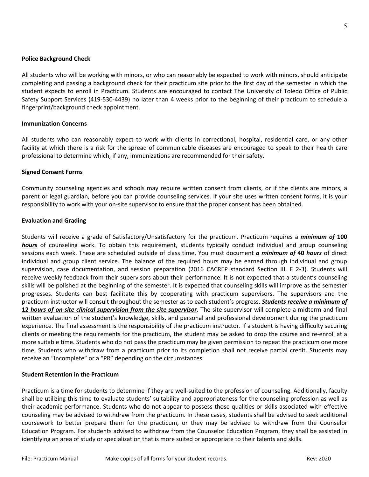#### **Police Background Check**

All students who will be working with minors, or who can reasonably be expected to work with minors, should anticipate completing and passing a background check for their practicum site prior to the first day of the semester in which the student expects to enroll in Practicum. Students are encouraged to contact The University of Toledo Office of Public Safety Support Services (419-530-4439) no later than 4 weeks prior to the beginning of their practicum to schedule a fingerprint/background check appointment.

#### **Immunization Concerns**

All students who can reasonably expect to work with clients in correctional, hospital, residential care, or any other facility at which there is a risk for the spread of communicable diseases are encouraged to speak to their health care professional to determine which, if any, immunizations are recommended for their safety.

#### **Signed Consent Forms**

Community counseling agencies and schools may require written consent from clients, or if the clients are minors, a parent or legal guardian, before you can provide counseling services. If your site uses written consent forms, it is your responsibility to work with your on-site supervisor to ensure that the proper consent has been obtained.

#### **Evaluation and Grading**

Students will receive a grade of Satisfactory/Unsatisfactory for the practicum. Practicum requires a *minimum of* **100** *hours* of counseling work. To obtain this requirement, students typically conduct individual and group counseling sessions each week. These are scheduled outside of class time. You must document *a minimum of* **40** *hours* of direct individual and group client service. The balance of the required hours may be earned through individual and group supervision, case documentation, and session preparation (2016 CACREP standard Section III, F 2-3). Students will receive weekly feedback from their supervisors about their performance. It is not expected that a student's counseling skills will be polished at the beginning of the semester. It is expected that counseling skills will improve as the semester progresses. Students can best facilitate this by cooperating with practicum supervisors. The supervisors and the practicum instructor will consult throughout the semester as to each student's progress. *Students receive a minimum of*  **12** *hours of on-site clinical supervision from the site supervisor*. The site supervisor will complete a midterm and final written evaluation of the student's knowledge, skills, and personal and professional development during the practicum experience. The final assessment is the responsibility of the practicum instructor. If a student is having difficulty securing clients or meeting the requirements for the practicum, the student may be asked to drop the course and re-enroll at a more suitable time. Students who do not pass the practicum may be given permission to repeat the practicum one more time. Students who withdraw from a practicum prior to its completion shall not receive partial credit. Students may receive an "Incomplete" or a "PR" depending on the circumstances.

#### **Student Retention in the Practicum**

Practicum is a time for students to determine if they are well-suited to the profession of counseling. Additionally, faculty shall be utilizing this time to evaluate students' suitability and appropriateness for the counseling profession as well as their academic performance. Students who do not appear to possess those qualities or skills associated with effective counseling may be advised to withdraw from the practicum. In these cases, students shall be advised to seek additional coursework to better prepare them for the practicum, or they may be advised to withdraw from the Counselor Education Program. For students advised to withdraw from the Counselor Education Program, they shall be assisted in identifying an area of study or specialization that is more suited or appropriate to their talents and skills.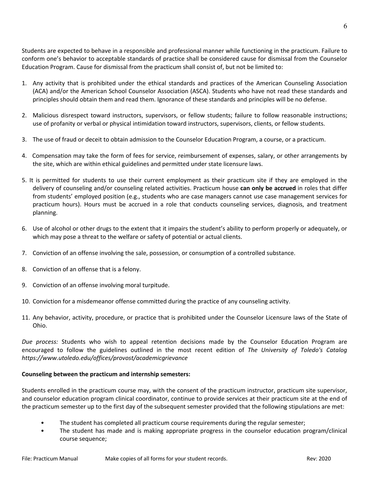Students are expected to behave in a responsible and professional manner while functioning in the practicum. Failure to conform one's behavior to acceptable standards of practice shall be considered cause for dismissal from the Counselor Education Program. Cause for dismissal from the practicum shall consist of, but not be limited to:

- 1. Any activity that is prohibited under the ethical standards and practices of the American Counseling Association (ACA) and/or the American School Counselor Association (ASCA). Students who have not read these standards and principles should obtain them and read them. Ignorance of these standards and principles will be no defense.
- 2. Malicious disrespect toward instructors, supervisors, or fellow students; failure to follow reasonable instructions; use of profanity or verbal or physical intimidation toward instructors, supervisors, clients, or fellow students.
- 3. The use of fraud or deceit to obtain admission to the Counselor Education Program, a course, or a practicum.
- 4. Compensation may take the form of fees for service, reimbursement of expenses, salary, or other arrangements by the site, which are within ethical guidelines and permitted under state licensure laws.
- 5. It is permitted for students to use their current employment as their practicum site if they are employed in the delivery of counseling and/or counseling related activities. Practicum house **can only be accrued** in roles that differ from students' employed position (e.g., students who are case managers cannot use case management services for practicum hours). Hours must be accrued in a role that conducts counseling services, diagnosis, and treatment planning.
- 6. Use of alcohol or other drugs to the extent that it impairs the student's ability to perform properly or adequately, or which may pose a threat to the welfare or safety of potential or actual clients.
- 7. Conviction of an offense involving the sale, possession, or consumption of a controlled substance.
- 8. Conviction of an offense that is a felony.
- 9. Conviction of an offense involving moral turpitude.
- 10. Conviction for a misdemeanor offense committed during the practice of any counseling activity.
- 11. Any behavior, activity, procedure, or practice that is prohibited under the Counselor Licensure laws of the State of Ohio.

*Due process:* Students who wish to appeal retention decisions made by the Counselor Education Program are encouraged to follow the guidelines outlined in the most recent edition of *The University of Toledo's Catalog https://www.utoledo.edu/offices/provost/academicgrievance*

## **Counseling between the practicum and internship semesters:**

Students enrolled in the practicum course may, with the consent of the practicum instructor, practicum site supervisor, and counselor education program clinical coordinator, continue to provide services at their practicum site at the end of the practicum semester up to the first day of the subsequent semester provided that the following stipulations are met:

- The student has completed all practicum course requirements during the regular semester;
- The student has made and is making appropriate progress in the counselor education program/clinical course sequence;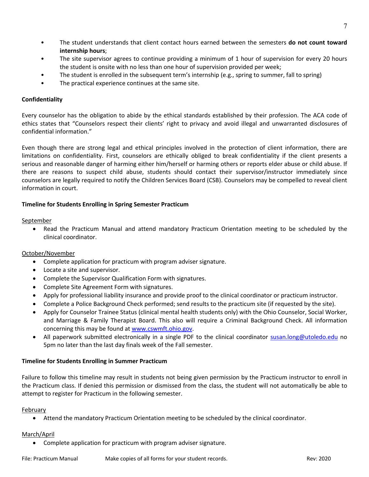- The student understands that client contact hours earned between the semesters **do not count toward internship hours**;
- The site supervisor agrees to continue providing a minimum of 1 hour of supervision for every 20 hours the student is onsite with no less than one hour of supervision provided per week;
- The student is enrolled in the subsequent term's internship (e.g., spring to summer, fall to spring)
- The practical experience continues at the same site.

## **Confidentiality**

Every counselor has the obligation to abide by the ethical standards established by their profession. The ACA code of ethics states that "Counselors respect their clients' right to privacy and avoid illegal and unwarranted disclosures of confidential information."

Even though there are strong legal and ethical principles involved in the protection of client information, there are limitations on confidentiality. First, counselors are ethically obliged to break confidentiality if the client presents a serious and reasonable danger of harming either him/herself or harming others or reports elder abuse or child abuse. If there are reasons to suspect child abuse, students should contact their supervisor/instructor immediately since counselors are legally required to notify the Children Services Board (CSB). Counselors may be compelled to reveal client information in court.

## **Timeline for Students Enrolling in Spring Semester Practicum**

## September

• Read the Practicum Manual and attend mandatory Practicum Orientation meeting to be scheduled by the clinical coordinator.

## October/November

- Complete application for practicum with program adviser signature.
- Locate a site and supervisor.
- Complete the Supervisor Qualification Form with signatures.
- Complete Site Agreement Form with signatures.
- Apply for professional liability insurance and provide proof to the clinical coordinator or practicum instructor.
- Complete a Police Background Check performed; send results to the practicum site (if requested by the site).
- Apply for Counselor Trainee Status (clinical mental health students only) with the Ohio Counselor, Social Worker, and Marriage & Family Therapist Board. This also will require a Criminal Background Check. All information concerning this may be found at www.cswmft.ohio.gov.
- All paperwork submitted electronically in a single PDF to the clinical coordinator susan.long@utoledo.edu no 5pm no later than the last day finals week of the Fall semester.

## **Timeline for Students Enrolling in Summer Practicum**

Failure to follow this timeline may result in students not being given permission by the Practicum instructor to enroll in the Practicum class. If denied this permission or dismissed from the class, the student will not automatically be able to attempt to register for Practicum in the following semester.

## February

• Attend the mandatory Practicum Orientation meeting to be scheduled by the clinical coordinator.

## March/April

• Complete application for practicum with program adviser signature.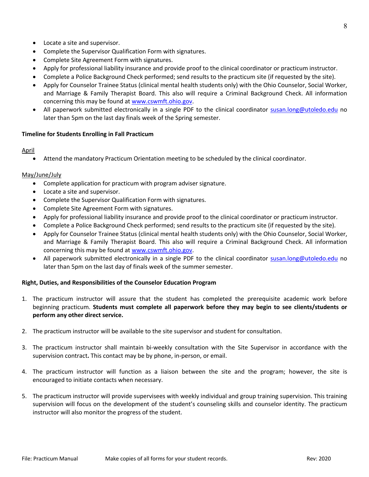- Locate a site and supervisor.
- Complete the Supervisor Qualification Form with signatures.
- Complete Site Agreement Form with signatures.
- Apply for professional liability insurance and provide proof to the clinical coordinator or practicum instructor.
- Complete a Police Background Check performed; send results to the practicum site (if requested by the site).
- Apply for Counselor Trainee Status (clinical mental health students only) with the Ohio Counselor, Social Worker, and Marriage & Family Therapist Board. This also will require a Criminal Background Check. All information concerning this may be found at www.cswmft.ohio.gov.
- All paperwork submitted electronically in a single PDF to the clinical coordinator susan.long@utoledo.edu no later than 5pm on the last day finals week of the Spring semester.

#### **Timeline for Students Enrolling in Fall Practicum**

#### April

• Attend the mandatory Practicum Orientation meeting to be scheduled by the clinical coordinator.

#### May/June/July

- Complete application for practicum with program adviser signature.
- Locate a site and supervisor.
- Complete the Supervisor Qualification Form with signatures.
- Complete Site Agreement Form with signatures.
- Apply for professional liability insurance and provide proof to the clinical coordinator or practicum instructor.
- Complete a Police Background Check performed; send results to the practicum site (if requested by the site).
- Apply for Counselor Trainee Status (clinical mental health students only) with the Ohio Counselor, Social Worker, and Marriage & Family Therapist Board. This also will require a Criminal Background Check. All information concerning this may be found at www.cswmft.ohio.gov.
- All paperwork submitted electronically in a single PDF to the clinical coordinator susan.long@utoledo.edu no later than 5pm on the last day of finals week of the summer semester.

#### **Right, Duties, and Responsibilities of the Counselor Education Program**

- 1. The practicum instructor will assure that the student has completed the prerequisite academic work before beginning practicum. **Students must complete all paperwork before they may begin to see clients/students or perform any other direct service.**
- 2. The practicum instructor will be available to the site supervisor and student for consultation.
- 3. The practicum instructor shall maintain bi-weekly consultation with the Site Supervisor in accordance with the supervision contract**.** This contact may be by phone, in-person, or email.
- 4. The practicum instructor will function as a liaison between the site and the program; however, the site is encouraged to initiate contacts when necessary.
- 5. The practicum instructor will provide supervisees with weekly individual and group training supervision. This training supervision will focus on the development of the student's counseling skills and counselor identity. The practicum instructor will also monitor the progress of the student.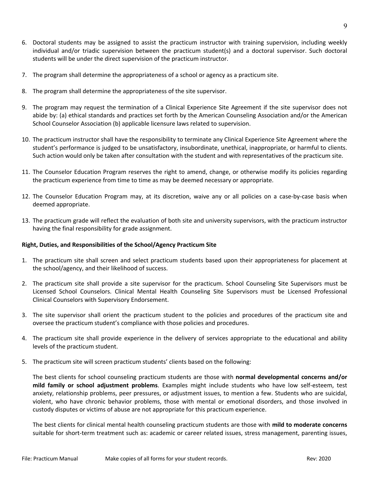- 6. Doctoral students may be assigned to assist the practicum instructor with training supervision, including weekly individual and/or triadic supervision between the practicum student(s) and a doctoral supervisor. Such doctoral students will be under the direct supervision of the practicum instructor.
- 7. The program shall determine the appropriateness of a school or agency as a practicum site.
- 8. The program shall determine the appropriateness of the site supervisor.
- 9. The program may request the termination of a Clinical Experience Site Agreement if the site supervisor does not abide by: (a) ethical standards and practices set forth by the American Counseling Association and/or the American School Counselor Association (b) applicable licensure laws related to supervision.
- 10. The practicum instructor shall have the responsibility to terminate any Clinical Experience Site Agreement where the student's performance is judged to be unsatisfactory, insubordinate, unethical, inappropriate, or harmful to clients. Such action would only be taken after consultation with the student and with representatives of the practicum site.
- 11. The Counselor Education Program reserves the right to amend, change, or otherwise modify its policies regarding the practicum experience from time to time as may be deemed necessary or appropriate.
- 12. The Counselor Education Program may, at its discretion, waive any or all policies on a case-by-case basis when deemed appropriate.
- 13. The practicum grade will reflect the evaluation of both site and university supervisors, with the practicum instructor having the final responsibility for grade assignment.

## **Right, Duties, and Responsibilities of the School/Agency Practicum Site**

- 1. The practicum site shall screen and select practicum students based upon their appropriateness for placement at the school/agency, and their likelihood of success.
- 2. The practicum site shall provide a site supervisor for the practicum. School Counseling Site Supervisors must be Licensed School Counselors. Clinical Mental Health Counseling Site Supervisors must be Licensed Professional Clinical Counselors with Supervisory Endorsement.
- 3. The site supervisor shall orient the practicum student to the policies and procedures of the practicum site and oversee the practicum student's compliance with those policies and procedures.
- 4. The practicum site shall provide experience in the delivery of services appropriate to the educational and ability levels of the practicum student.
- 5. The practicum site will screen practicum students' clients based on the following:

The best clients for school counseling practicum students are those with **normal developmental concerns and/or mild family or school adjustment problems**. Examples might include students who have low self-esteem, test anxiety, relationship problems, peer pressures, or adjustment issues, to mention a few. Students who are suicidal, violent, who have chronic behavior problems, those with mental or emotional disorders, and those involved in custody disputes or victims of abuse are not appropriate for this practicum experience.

The best clients for clinical mental health counseling practicum students are those with **mild to moderate concerns** suitable for short-term treatment such as: academic or career related issues, stress management, parenting issues,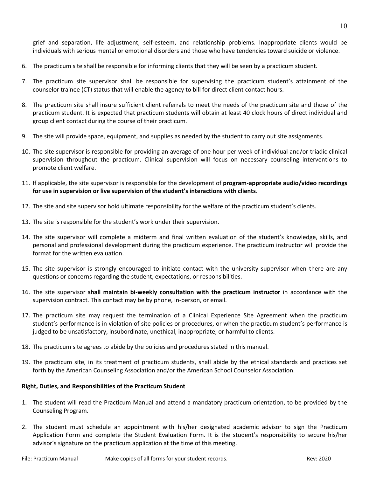grief and separation, life adjustment, self-esteem, and relationship problems. Inappropriate clients would be individuals with serious mental or emotional disorders and those who have tendencies toward suicide or violence.

- 6. The practicum site shall be responsible for informing clients that they will be seen by a practicum student.
- 7. The practicum site supervisor shall be responsible for supervising the practicum student's attainment of the counselor trainee (CT) status that will enable the agency to bill for direct client contact hours.
- 8. The practicum site shall insure sufficient client referrals to meet the needs of the practicum site and those of the practicum student. It is expected that practicum students will obtain at least 40 clock hours of direct individual and group client contact during the course of their practicum.
- 9. The site will provide space, equipment, and supplies as needed by the student to carry out site assignments.
- 10. The site supervisor is responsible for providing an average of one hour per week of individual and/or triadic clinical supervision throughout the practicum. Clinical supervision will focus on necessary counseling interventions to promote client welfare.
- 11. If applicable, the site supervisor is responsible for the development of **program-appropriate audio/video recordings for use in supervision or live supervision of the student's interactions with clients**.
- 12. The site and site supervisor hold ultimate responsibility for the welfare of the practicum student's clients.
- 13. The site is responsible for the student's work under their supervision.
- 14. The site supervisor will complete a midterm and final written evaluation of the student's knowledge, skills, and personal and professional development during the practicum experience. The practicum instructor will provide the format for the written evaluation.
- 15. The site supervisor is strongly encouraged to initiate contact with the university supervisor when there are any questions or concerns regarding the student, expectations, or responsibilities.
- 16. The site supervisor **shall maintain bi-weekly consultation with the practicum instructor** in accordance with the supervision contract. This contact may be by phone, in-person, or email.
- 17. The practicum site may request the termination of a Clinical Experience Site Agreement when the practicum student's performance is in violation of site policies or procedures, or when the practicum student's performance is judged to be unsatisfactory, insubordinate, unethical, inappropriate, or harmful to clients.
- 18. The practicum site agrees to abide by the policies and procedures stated in this manual.
- 19. The practicum site, in its treatment of practicum students, shall abide by the ethical standards and practices set forth by the American Counseling Association and/or the American School Counselor Association.

## **Right, Duties, and Responsibilities of the Practicum Student**

- 1. The student will read the Practicum Manual and attend a mandatory practicum orientation, to be provided by the Counseling Program.
- 2. The student must schedule an appointment with his/her designated academic advisor to sign the Practicum Application Form and complete the Student Evaluation Form. It is the student's responsibility to secure his/her advisor's signature on the practicum application at the time of this meeting.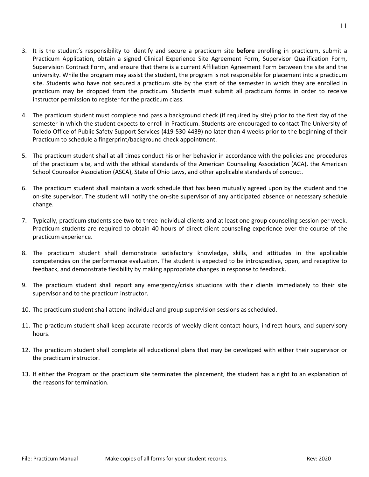- 3. It is the student's responsibility to identify and secure a practicum site **before** enrolling in practicum, submit a Practicum Application, obtain a signed Clinical Experience Site Agreement Form, Supervisor Qualification Form, Supervision Contract Form, and ensure that there is a current Affiliation Agreement Form between the site and the university. While the program may assist the student, the program is not responsible for placement into a practicum site. Students who have not secured a practicum site by the start of the semester in which they are enrolled in practicum may be dropped from the practicum. Students must submit all practicum forms in order to receive instructor permission to register for the practicum class.
- 4. The practicum student must complete and pass a background check (if required by site) prior to the first day of the semester in which the student expects to enroll in Practicum. Students are encouraged to contact The University of Toledo Office of Public Safety Support Services (419-530-4439) no later than 4 weeks prior to the beginning of their Practicum to schedule a fingerprint/background check appointment.
- 5. The practicum student shall at all times conduct his or her behavior in accordance with the policies and procedures of the practicum site, and with the ethical standards of the American Counseling Association (ACA), the American School Counselor Association (ASCA), State of Ohio Laws, and other applicable standards of conduct.
- 6. The practicum student shall maintain a work schedule that has been mutually agreed upon by the student and the on-site supervisor. The student will notify the on-site supervisor of any anticipated absence or necessary schedule change.
- 7. Typically, practicum students see two to three individual clients and at least one group counseling session per week. Practicum students are required to obtain 40 hours of direct client counseling experience over the course of the practicum experience.
- 8. The practicum student shall demonstrate satisfactory knowledge, skills, and attitudes in the applicable competencies on the performance evaluation. The student is expected to be introspective, open, and receptive to feedback, and demonstrate flexibility by making appropriate changes in response to feedback.
- 9. The practicum student shall report any emergency/crisis situations with their clients immediately to their site supervisor and to the practicum instructor.
- 10. The practicum student shall attend individual and group supervision sessions as scheduled.
- 11. The practicum student shall keep accurate records of weekly client contact hours, indirect hours, and supervisory hours.
- 12. The practicum student shall complete all educational plans that may be developed with either their supervisor or the practicum instructor.
- 13. If either the Program or the practicum site terminates the placement, the student has a right to an explanation of the reasons for termination.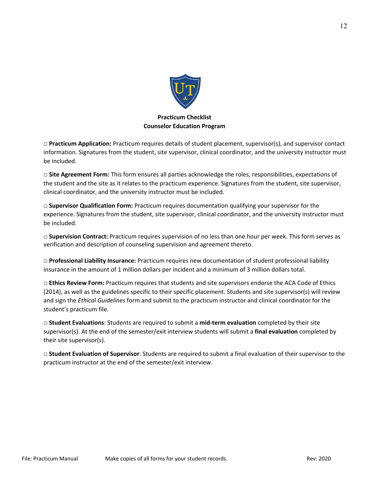

## **Practicum Checklist Counselor Education Program**

**□ Practicum Application:** Practicum requires details of student placement, supervisor(s), and supervisor contact information. Signatures from the student, site supervisor, clinical coordinator, and the university instructor must be included.

**□ Site Agreement Form:** This form ensures all parties acknowledge the roles, responsibilities, expectations of the student and the site as it relates to the practicum experience. Signatures from the student, site supervisor, clinical coordinator, and the university instructor must be included.

□ **Supervisor Qualification Form:** Practicum requires documentation qualifying your supervisor for the experience. Signatures from the student, site supervisor, clinical coordinator, and the university instructor must be included.

□ **Supervision Contract:** Practicum requires supervision of no less than one hour per week. This form serves as verification and description of counseling supervision and agreement thereto.

□ **Professional Liability Insurance:** Practicum requires new documentation of student professional liability insurance in the amount of 1 million dollars per incident and a minimum of 3 million dollars total.

□ **Ethics Review Form:** Practicum requires that students and site supervisors endorse the ACA Code of Ethics (2014), as well as the guidelines specific to their specific placement. Students and site supervisor(s) will review and sign the *Ethical Guidelines* form and submit to the practicum instructor and clinical coordinator for the student's practicum file.

□ **Student Evaluations**: Students are required to submit a **mid-term evaluation** completed by their site supervisor(s). At the end of the semester/exit interview students will submit a **final evaluation** completed by their site supervisor(s).

□ **Student Evaluation of Supervisor**: Students are required to submit a final evaluation of their supervisor to the practicum instructor at the end of the semester/exit interview.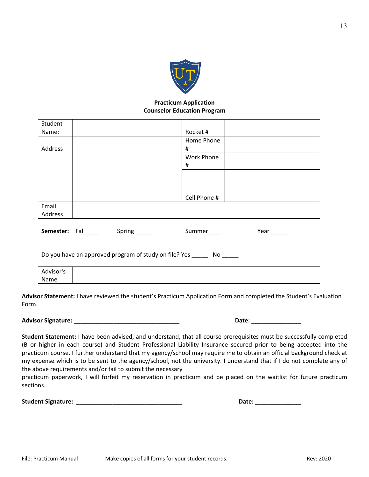

## **Practicum Application Counselor Education Program**

| Student   |                                                          |                   |      |
|-----------|----------------------------------------------------------|-------------------|------|
| Name:     |                                                          | Rocket#           |      |
|           |                                                          | Home Phone        |      |
| Address   |                                                          | #                 |      |
|           |                                                          | <b>Work Phone</b> |      |
|           |                                                          | #                 |      |
|           |                                                          |                   |      |
|           |                                                          |                   |      |
|           |                                                          |                   |      |
|           |                                                          | Cell Phone #      |      |
| Email     |                                                          |                   |      |
| Address   |                                                          |                   |      |
|           |                                                          |                   |      |
|           | <b>Semester:</b> Fall ______ Spring ______               | Summer_____       | Year |
|           |                                                          |                   |      |
|           |                                                          |                   |      |
|           | Do you have an approved program of study on file? Yes No |                   |      |
|           |                                                          |                   |      |
| Advisor's |                                                          |                   |      |

**Advisor Statement:** I have reviewed the student's Practicum Application Form and completed the Student's Evaluation Form.

**Advisor Signature:** \_\_\_\_\_\_\_\_\_\_\_\_\_\_\_\_\_\_\_\_\_\_\_\_\_\_\_\_\_\_\_\_ **Date:** \_\_\_\_\_\_\_\_\_\_\_\_\_\_\_

Name

**Student Statement:** I have been advised, and understand, that all course prerequisites must be successfully completed (B or higher in each course) and Student Professional Liability Insurance secured prior to being accepted into the practicum course. I further understand that my agency/school may require me to obtain an official background check at my expense which is to be sent to the agency/school, not the university. I understand that if I do not complete any of the above requirements and/or fail to submit the necessary

practicum paperwork, I will forfeit my reservation in practicum and be placed on the waitlist for future practicum sections.

| <b>Student Signature:</b> | <b>Date:</b> |  |
|---------------------------|--------------|--|
|                           |              |  |

| Date: |  |
|-------|--|
|       |  |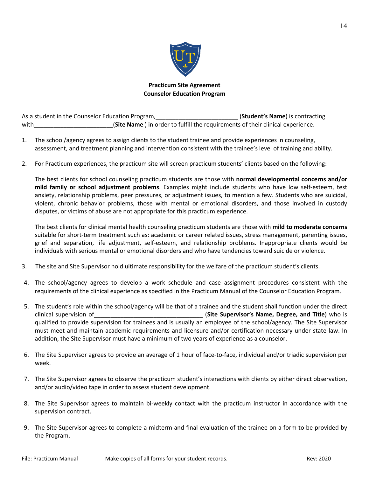

## **Practicum Site Agreement Counselor Education Program**

As a student in the Counselor Education Program, The Counsel of Counsel and Counsel and Counsel and Counsel of E with\_\_\_\_\_\_\_\_\_\_\_\_\_\_\_\_\_\_\_\_\_\_\_\_(**Site Name** ) in order to fulfill the requirements of their clinical experience.

- 1. The school/agency agrees to assign clients to the student trainee and provide experiences in counseling, assessment, and treatment planning and intervention consistent with the trainee's level of training and ability.
- 2. For Practicum experiences, the practicum site will screen practicum students' clients based on the following:

The best clients for school counseling practicum students are those with **normal developmental concerns and/or mild family or school adjustment problems**. Examples might include students who have low self-esteem, test anxiety, relationship problems, peer pressures, or adjustment issues, to mention a few. Students who are suicidal, violent, chronic behavior problems, those with mental or emotional disorders, and those involved in custody disputes, or victims of abuse are not appropriate for this practicum experience.

The best clients for clinical mental health counseling practicum students are those with **mild to moderate concerns** suitable for short-term treatment such as: academic or career related issues, stress management, parenting issues, grief and separation, life adjustment, self-esteem, and relationship problems. Inappropriate clients would be individuals with serious mental or emotional disorders and who have tendencies toward suicide or violence.

- 3. The site and Site Supervisor hold ultimate responsibility for the welfare of the practicum student's clients.
- 4. The school/agency agrees to develop a work schedule and case assignment procedures consistent with the requirements of the clinical experience as specified in the Practicum Manual of the Counselor Education Program.
- 5. The student's role within the school/agency will be that of a trainee and the student shall function under the direct clinical supervision of\_\_\_\_\_\_\_\_\_\_\_\_\_\_\_\_\_\_\_\_\_\_\_\_\_\_\_\_\_\_\_\_\_ (**Site Supervisor's Name, Degree, and Title**) who is qualified to provide supervision for trainees and is usually an employee of the school/agency. The Site Supervisor must meet and maintain academic requirements and licensure and/or certification necessary under state law. In addition, the Site Supervisor must have a minimum of two years of experience as a counselor.
- 6. The Site Supervisor agrees to provide an average of 1 hour of face-to-face, individual and/or triadic supervision per week.
- 7. The Site Supervisor agrees to observe the practicum student's interactions with clients by either direct observation, and/or audio/video tape in order to assess student development.
- 8. The Site Supervisor agrees to maintain bi-weekly contact with the practicum instructor in accordance with the supervision contract.
- 9. The Site Supervisor agrees to complete a midterm and final evaluation of the trainee on a form to be provided by the Program.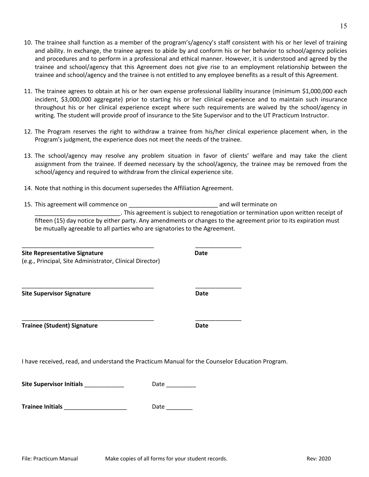- 10. The trainee shall function as a member of the program's/agency's staff consistent with his or her level of training and ability. In exchange, the trainee agrees to abide by and conform his or her behavior to school/agency policies and procedures and to perform in a professional and ethical manner. However, it is understood and agreed by the trainee and school/agency that this Agreement does not give rise to an employment relationship between the trainee and school/agency and the trainee is not entitled to any employee benefits as a result of this Agreement.
- 11. The trainee agrees to obtain at his or her own expense professional liability insurance (minimum \$1,000,000 each incident, \$3,000,000 aggregate) prior to starting his or her clinical experience and to maintain such insurance throughout his or her clinical experience except where such requirements are waived by the school/agency in writing. The student will provide proof of insurance to the Site Supervisor and to the UT Practicum Instructor.
- 12. The Program reserves the right to withdraw a trainee from his/her clinical experience placement when, in the Program's judgment, the experience does not meet the needs of the trainee.
- 13. The school/agency may resolve any problem situation in favor of clients' welfare and may take the client assignment from the trainee. If deemed necessary by the school/agency, the trainee may be removed from the school/agency and required to withdraw from the clinical experience site.
- 14. Note that nothing in this document supersedes the Affiliation Agreement.

\_\_\_\_\_\_\_\_\_\_\_\_\_\_\_\_\_\_\_\_\_\_\_\_\_\_\_\_\_\_\_\_\_\_\_\_\_\_\_\_ \_\_\_\_\_\_\_\_\_\_\_\_\_\_

\_\_\_\_\_\_\_\_\_\_\_\_\_\_\_\_\_\_\_\_\_\_\_\_\_\_\_\_\_\_\_\_\_\_\_\_\_\_\_\_ \_\_\_\_\_\_\_\_\_\_\_\_\_\_

\_\_\_\_\_\_\_\_\_\_\_\_\_\_\_\_\_\_\_\_\_\_\_\_\_\_\_\_\_\_\_\_\_\_\_\_\_\_\_\_ \_\_\_\_\_\_\_\_\_\_\_\_\_\_

15. This agreement will commence on the community of the community and will terminate on \_\_\_\_\_\_\_\_\_\_\_\_\_\_\_\_\_\_\_\_\_\_\_\_\_\_. This agreement is subject to renegotiation or termination upon written receipt of fifteen (15) day notice by either party. Any amendments or changes to the agreement prior to its expiration must be mutually agreeable to all parties who are signatories to the Agreement.

## **Site Representative Signature Date**

(e.g., Principal, Site Administrator, Clinical Director)

**Site Supervisor Signature Date**

**Trainee (Student) Signature Date**

I have received, read, and understand the Practicum Manual for the Counselor Education Program.

**Site Supervisor Initials Contract Contract Proportional Proportional Proportional Proportional Proportional Proportional Proportional Proportional Proportional Proportional Proportional Proportional Proportional Proport** 

**Trainee Initials** \_\_\_\_\_\_\_\_\_\_\_\_\_\_\_\_\_\_\_ Date \_\_\_\_\_\_\_\_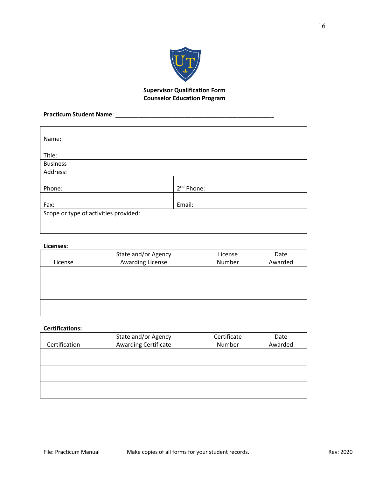

## **Supervisor Qualification Form Counselor Education Program**

## **Practicum Student Name**: \_\_\_\_\_\_\_\_\_\_\_\_\_\_\_\_\_\_\_\_\_\_\_\_\_\_\_\_\_\_\_\_\_\_\_\_\_\_\_\_\_\_\_\_\_\_\_\_

| Name:           |                                       |                        |  |
|-----------------|---------------------------------------|------------------------|--|
|                 |                                       |                        |  |
| Title:          |                                       |                        |  |
| <b>Business</b> |                                       |                        |  |
| Address:        |                                       |                        |  |
|                 |                                       |                        |  |
| Phone:          |                                       | 2 <sup>nd</sup> Phone: |  |
|                 |                                       |                        |  |
| Fax:            |                                       | Email:                 |  |
|                 | Scope or type of activities provided: |                        |  |
|                 |                                       |                        |  |
|                 |                                       |                        |  |

## **Licenses:**

|         | State and/or Agency     | License | Date    |
|---------|-------------------------|---------|---------|
| License | <b>Awarding License</b> | Number  | Awarded |
|         |                         |         |         |
|         |                         |         |         |
|         |                         |         |         |
|         |                         |         |         |
|         |                         |         |         |
|         |                         |         |         |

## **Certifications:**

|               | State and/or Agency  | Certificate | Date    |
|---------------|----------------------|-------------|---------|
| Certification | Awarding Certificate | Number      | Awarded |
|               |                      |             |         |
|               |                      |             |         |
|               |                      |             |         |
|               |                      |             |         |
|               |                      |             |         |
|               |                      |             |         |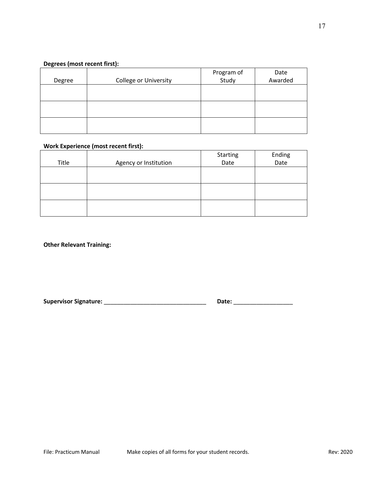## **Degrees (most recent first):**

| Degree | <b>College or University</b> | Program of<br>Study | Date<br>Awarded |
|--------|------------------------------|---------------------|-----------------|
|        |                              |                     |                 |
|        |                              |                     |                 |
|        |                              |                     |                 |

## **Work Experience (most recent first):**

|       |                       | Starting | Ending |
|-------|-----------------------|----------|--------|
| Title | Agency or Institution | Date     | Date   |
|       |                       |          |        |
|       |                       |          |        |
|       |                       |          |        |
|       |                       |          |        |
|       |                       |          |        |
|       |                       |          |        |

**Other Relevant Training:**

**Supervisor Signature:** \_\_\_\_\_\_\_\_\_\_\_\_\_\_\_\_\_\_\_\_\_\_\_\_\_\_\_\_\_\_\_ **Date:** \_\_\_\_\_\_\_\_\_\_\_\_\_\_\_\_\_\_

| Date: |  |
|-------|--|
|       |  |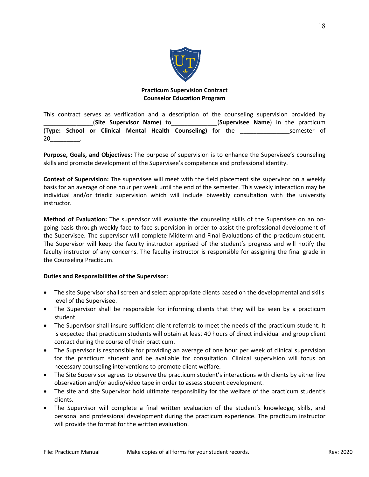

## **Practicum Supervision Contract Counselor Education Program**

This contract serves as verification and a description of the counseling supervision provided by \_\_\_\_\_\_\_\_\_\_\_\_\_\_\_(**Site Supervisor Name**) to\_\_\_\_\_\_\_\_\_\_\_\_\_\_(**Supervisee Name**) in the practicum (**Type: School or Clinical Mental Health Counseling)** for the \_\_\_\_\_\_\_\_\_\_\_\_\_\_\_semester of 20\_\_\_\_\_\_\_\_\_.

**Purpose, Goals, and Objectives:** The purpose of supervision is to enhance the Supervisee's counseling skills and promote development of the Supervisee's competence and professional identity.

**Context of Supervision:** The supervisee will meet with the field placement site supervisor on a weekly basis for an average of one hour per week until the end of the semester. This weekly interaction may be individual and/or triadic supervision which will include biweekly consultation with the university instructor.

**Method of Evaluation:** The supervisor will evaluate the counseling skills of the Supervisee on an ongoing basis through weekly face-to-face supervision in order to assist the professional development of the Supervisee. The supervisor will complete Midterm and Final Evaluations of the practicum student. The Supervisor will keep the faculty instructor apprised of the student's progress and will notify the faculty instructor of any concerns. The faculty instructor is responsible for assigning the final grade in the Counseling Practicum.

## **Duties and Responsibilities of the Supervisor:**

- The site Supervisor shall screen and select appropriate clients based on the developmental and skills level of the Supervisee.
- The Supervisor shall be responsible for informing clients that they will be seen by a practicum student.
- The Supervisor shall insure sufficient client referrals to meet the needs of the practicum student. It is expected that practicum students will obtain at least 40 hours of direct individual and group client contact during the course of their practicum.
- The Supervisor is responsible for providing an average of one hour per week of clinical supervision for the practicum student and be available for consultation. Clinical supervision will focus on necessary counseling interventions to promote client welfare.
- The Site Supervisor agrees to observe the practicum student's interactions with clients by either live observation and/or audio/video tape in order to assess student development.
- The site and site Supervisor hold ultimate responsibility for the welfare of the practicum student's clients.
- The Supervisor will complete a final written evaluation of the student's knowledge, skills, and personal and professional development during the practicum experience. The practicum instructor will provide the format for the written evaluation.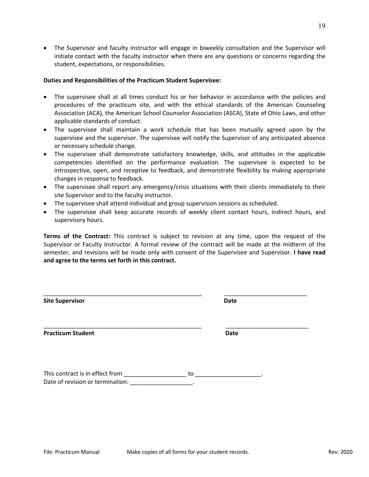• The Supervisor and faculty instructor will engage in biweekly consultation and the Supervisor will initiate contact with the faculty instructor when there are any questions or concerns regarding the student, expectations, or responsibilities.

#### **Duties and Responsibilities of the Practicum Student Supervisee:**

- The supervisee shall at all times conduct his or her behavior in accordance with the policies and procedures of the practicum site, and with the ethical standards of the American Counseling Association (ACA), the American School Counselor Association (ASCA), State of Ohio Laws, and other applicable standards of conduct.
- The supervisee shall maintain a work schedule that has been mutually agreed upon by the supervisee and the supervisor. The supervisee will notify the Supervisor of any anticipated absence or necessary schedule change.
- The supervisee shall demonstrate satisfactory knowledge, skills, and attitudes in the applicable competencies identified on the performance evaluation. The supervisee is expected to be introspective, open, and receptive to feedback, and demonstrate flexibility by making appropriate changes in response to feedback.
- The supervisee shall report any emergency/crisis situations with their clients immediately to their site Supervisor and to the faculty instructor.
- The supervisee shall attend individual and group supervision sessions as scheduled.
- The supervisee shall keep accurate records of weekly client contact hours, indirect hours, and supervisory hours.

**Terms of the Contract:** This contract is subject to revision at any time, upon the request of the Supervisor or Faculty Instructor. A formal review of the contract will be made at the midterm of the semester, and revisions will be made only with consent of the Supervisee and Supervisor. **I have read and agree to the terms set forth in this contract.**

| <b>Site Supervisor</b>                                              |    | <b>Date</b> |  |
|---------------------------------------------------------------------|----|-------------|--|
| <b>Practicum Student</b>                                            |    | <b>Date</b> |  |
| This contract is in effect from<br>Date of revision or termination: | to |             |  |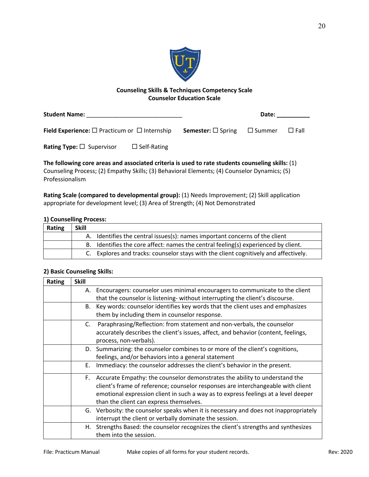

## **Counseling Skills & Techniques Competency Scale Counselor Education Scale**

| <b>Student Name:</b>                                           |                    | Date:                                        |  |             |
|----------------------------------------------------------------|--------------------|----------------------------------------------|--|-------------|
| <b>Field Experience:</b> $\Box$ Practicum or $\Box$ Internship |                    | <b>Semester:</b> $\Box$ Spring $\Box$ Summer |  | $\Box$ Fall |
| <b>Rating Type:</b> $\Box$ Supervisor                          | $\Box$ Self-Rating |                                              |  |             |

**The following core areas and associated criteria is used to rate students counseling skills:** (1) Counseling Process; (2) Empathy Skills; (3) Behavioral Elements; (4) Counselor Dynamics; (5) Professionalism

**Rating Scale (compared to developmental group):** (1) Needs Improvement; (2) Skill application appropriate for development level; (3) Area of Strength; (4) Not Demonstrated

## **1) Counselling Process:**

| Rating | Skill |                                                                                      |
|--------|-------|--------------------------------------------------------------------------------------|
|        |       | A. Identifies the central issues(s): names important concerns of the client          |
|        |       | Identifies the core affect: names the central feeling(s) experienced by client.      |
|        |       | C. Explores and tracks: counselor stays with the client cognitively and affectively. |

## **2) Basic Counseling Skills:**

| Rating | <b>Skill</b> |                                                                                      |
|--------|--------------|--------------------------------------------------------------------------------------|
|        |              | A. Encouragers: counselor uses minimal encouragers to communicate to the client      |
|        |              | that the counselor is listening- without interrupting the client's discourse.        |
|        |              | B. Key words: counselor identifies key words that the client uses and emphasizes     |
|        |              | them by including them in counselor response.                                        |
|        | C.           | Paraphrasing/Reflection: from statement and non-verbals, the counselor               |
|        |              | accurately describes the client's issues, affect, and behavior (content, feelings,   |
|        |              | process, non-verbals).                                                               |
|        |              | D. Summarizing: the counselor combines to or more of the client's cognitions,        |
|        |              | feelings, and/or behaviors into a general statement                                  |
|        | Е.           | Immediacy: the counselor addresses the client's behavior in the present.             |
|        | F.           | Accurate Empathy: the counselor demonstrates the ability to understand the           |
|        |              | client's frame of reference; counselor responses are interchangeable with client     |
|        |              | emotional expression client in such a way as to express feelings at a level deeper   |
|        |              | than the client can express themselves.                                              |
|        |              | G. Verbosity: the counselor speaks when it is necessary and does not inappropriately |
|        |              | interrupt the client or verbally dominate the session.                               |
|        | Н.           | Strengths Based: the counselor recognizes the client's strengths and synthesizes     |
|        |              | them into the session.                                                               |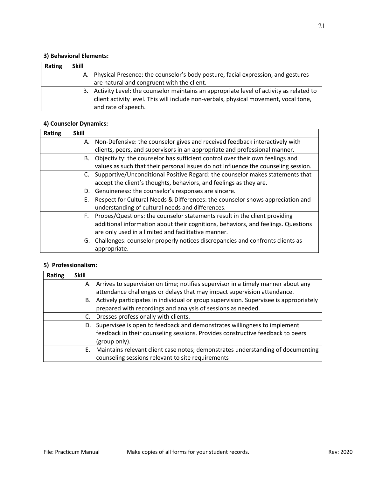## **3) Behavioral Elements:**

| <b>Rating</b> | <b>Skill</b> |                                                                                           |
|---------------|--------------|-------------------------------------------------------------------------------------------|
|               |              | A. Physical Presence: the counselor's body posture, facial expression, and gestures       |
|               |              | are natural and congruent with the client.                                                |
|               |              | B. Activity Level: the counselor maintains an appropriate level of activity as related to |
|               |              | client activity level. This will include non-verbals, physical movement, vocal tone,      |
|               |              | and rate of speech.                                                                       |

# **4) Counselor Dynamics:**

| <b>Rating</b> | <b>Skill</b> |                                                                                    |
|---------------|--------------|------------------------------------------------------------------------------------|
|               | А.           | Non-Defensive: the counselor gives and received feedback interactively with        |
|               |              | clients, peers, and supervisors in an appropriate and professional manner.         |
|               | В.           | Objectivity: the counselor has sufficient control over their own feelings and      |
|               |              | values as such that their personal issues do not influence the counseling session. |
|               | C.           | Supportive/Unconditional Positive Regard: the counselor makes statements that      |
|               |              | accept the client's thoughts, behaviors, and feelings as they are.                 |
|               | D.           | Genuineness: the counselor's responses are sincere.                                |
|               | Е.           | Respect for Cultural Needs & Differences: the counselor shows appreciation and     |
|               |              | understanding of cultural needs and differences.                                   |
|               | F.           | Probes/Questions: the counselor statements result in the client providing          |
|               |              | additional information about their cognitions, behaviors, and feelings. Questions  |
|               |              | are only used in a limited and facilitative manner.                                |
|               |              | G. Challenges: counselor properly notices discrepancies and confronts clients as   |
|               |              | appropriate.                                                                       |

## **5) Professionalism:**

| Rating | <b>Skill</b> |                                                                                       |
|--------|--------------|---------------------------------------------------------------------------------------|
|        |              | A. Arrives to supervision on time; notifies supervisor in a timely manner about any   |
|        |              | attendance challenges or delays that may impact supervision attendance.               |
|        | В.           | Actively participates in individual or group supervision. Supervisee is appropriately |
|        |              | prepared with recordings and analysis of sessions as needed.                          |
|        |              | Dresses professionally with clients.                                                  |
|        | D.           | Supervisee is open to feedback and demonstrates willingness to implement              |
|        |              | feedback in their counseling sessions. Provides constructive feedback to peers        |
|        |              | (group only).                                                                         |
|        | E.           | Maintains relevant client case notes; demonstrates understanding of documenting       |
|        |              | counseling sessions relevant to site requirements                                     |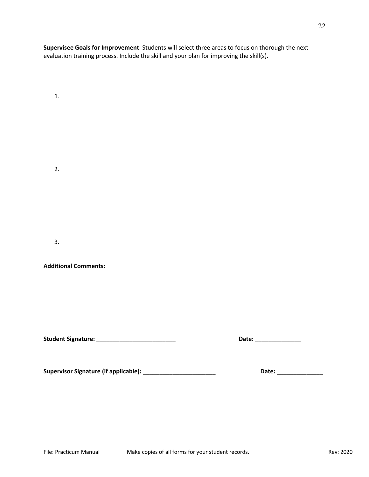**Supervisee Goals for Improvement**: Students will select three areas to focus on thorough the next evaluation training process. Include the skill and your plan for improving the skill(s).

1.

2.

3.

**Additional Comments:** 

**Student Signature:** \_\_\_\_\_\_\_\_\_\_\_\_\_\_\_\_\_\_\_\_\_\_\_\_ **Date:** \_\_\_\_\_\_\_\_\_\_\_\_\_\_

**Supervisor Signature (if applicable):** \_\_\_\_\_\_\_\_\_\_\_\_\_\_\_\_\_\_\_\_\_\_ **Date:** \_\_\_\_\_\_\_\_\_\_\_\_\_\_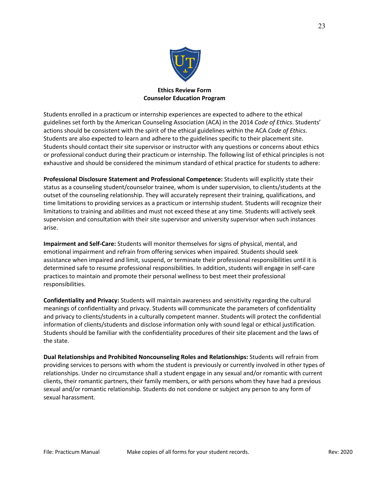

## **Ethics Review Form Counselor Education Program**

Students enrolled in a practicum or internship experiences are expected to adhere to the ethical guidelines set forth by the American Counseling Association (ACA) in the 2014 *Code of Ethics*. Students' actions should be consistent with the spirit of the ethical guidelines within the ACA *Code of Ethics*. Students are also expected to learn and adhere to the guidelines specific to their placement site. Students should contact their site supervisor or instructor with any questions or concerns about ethics or professional conduct during their practicum or internship. The following list of ethical principles is not exhaustive and should be considered the minimum standard of ethical practice for students to adhere:

**Professional Disclosure Statement and Professional Competence:** Students will explicitly state their status as a counseling student/counselor trainee, whom is under supervision, to clients/students at the outset of the counseling relationship. They will accurately represent their training, qualifications, and time limitations to providing services as a practicum or internship student. Students will recognize their limitations to training and abilities and must not exceed these at any time. Students will actively seek supervision and consultation with their site supervisor and university supervisor when such instances arise.

**Impairment and Self-Care:** Students will monitor themselves for signs of physical, mental, and emotional impairment and refrain from offering services when impaired. Students should seek assistance when impaired and limit, suspend, or terminate their professional responsibilities until it is determined safe to resume professional responsibilities. In addition, students will engage in self-care practices to maintain and promote their personal wellness to best meet their professional responsibilities.

**Confidentiality and Privacy:** Students will maintain awareness and sensitivity regarding the cultural meanings of confidentiality and privacy. Students will communicate the parameters of confidentiality and privacy to clients/students in a culturally competent manner. Students will protect the confidential information of clients/students and disclose information only with sound legal or ethical justification. Students should be familiar with the confidentiality procedures of their site placement and the laws of the state.

**Dual Relationships and Prohibited Noncounseling Roles and Relationships:** Students will refrain from providing services to persons with whom the student is previously or currently involved in other types of relationships. Under no circumstance shall a student engage in any sexual and/or romantic with current clients, their romantic partners, their family members, or with persons whom they have had a previous sexual and/or romantic relationship. Students do not condone or subject any person to any form of sexual harassment.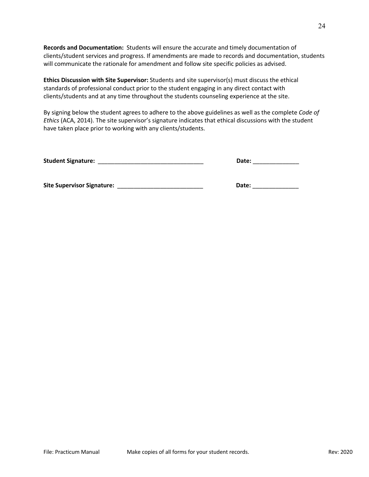**Records and Documentation:** Students will ensure the accurate and timely documentation of clients/student services and progress. If amendments are made to records and documentation, students will communicate the rationale for amendment and follow site specific policies as advised.

**Ethics Discussion with Site Supervisor:** Students and site supervisor(s) must discuss the ethical standards of professional conduct prior to the student engaging in any direct contact with clients/students and at any time throughout the students counseling experience at the site.

By signing below the student agrees to adhere to the above guidelines as well as the complete *Code of Ethics* (ACA, 2014). The site supervisor's signature indicates that ethical discussions with the student have taken place prior to working with any clients/students.

**Student Signature:** \_\_\_\_\_\_\_\_\_\_\_\_\_\_\_\_\_\_\_\_\_\_\_\_\_\_\_\_\_\_\_\_ **Date:** \_\_\_\_\_\_\_\_\_\_\_\_\_\_

| <b>Date:</b> |
|--------------|
|              |

**Site Supervisor Signature:** \_\_\_\_\_\_\_\_\_\_\_\_\_\_\_\_\_\_\_\_\_\_\_\_\_\_ **Date:** \_\_\_\_\_\_\_\_\_\_\_\_\_\_

| Date: |  |  |  |
|-------|--|--|--|
|       |  |  |  |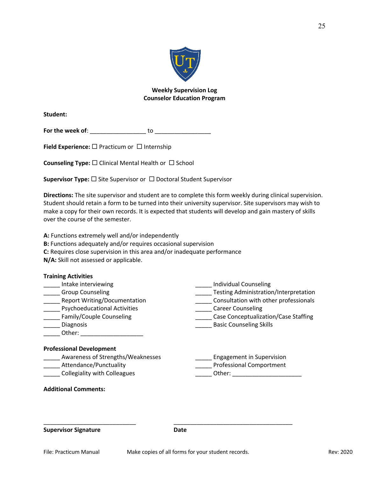

## **Weekly Supervision Log Counselor Education Program**

**Student:** 

**For the week of**: \_\_\_\_\_\_\_\_\_\_\_\_\_\_\_\_\_ to \_\_\_\_\_\_\_\_\_\_\_\_\_\_\_\_\_

**Field Experience:** □ Practicum or □ Internship

**Counseling Type:** □ Clinical Mental Health or □ School

**Supervisor Type:** □ Site Supervisor or □ Doctoral Student Supervisor

**Directions:** The site supervisor and student are to complete this form weekly during clinical supervision. Student should retain a form to be turned into their university supervisor. Site supervisors may wish to make a copy for their own records. It is expected that students will develop and gain mastery of skills over the course of the semester.

**A:** Functions extremely well and/or independently

- **B:** Functions adequately and/or requires occasional supervision
- **C:** Requires close supervision in this area and/or inadequate performance

**N/A:** Skill not assessed or applicable.

| <b>Training Activities</b>          |                                              |
|-------------------------------------|----------------------------------------------|
| Intake interviewing                 | Individual Counseling                        |
| <b>Group Counseling</b>             | <b>Testing Administration/Interpretation</b> |
| <b>Report Writing/Documentation</b> | Consultation with other professionals        |
| <b>Psychoeducational Activities</b> | <b>Career Counseling</b>                     |
| Family/Couple Counseling            | Case Conceptualization/Case Staffing         |
| Diagnosis                           | <b>Basic Counseling Skills</b>               |
| Other:                              |                                              |
| <b>Professional Development</b>     |                                              |
| Awareness of Strengths/Weaknesses   | <b>Engagement in Supervision</b>             |
| Attendance/Punctuality              | <b>Professional Comportment</b>              |
| <b>Collegiality with Colleagues</b> | Other:                                       |
|                                     |                                              |

**Additional Comments:**

**Supervisor Signature Date Date** 

\_\_\_\_\_\_\_\_\_\_\_\_\_\_\_\_\_\_\_\_\_\_\_\_\_\_\_\_ \_\_\_\_\_\_\_\_\_\_\_\_\_\_\_\_\_\_\_\_\_\_\_\_\_\_\_\_\_\_\_\_\_\_\_\_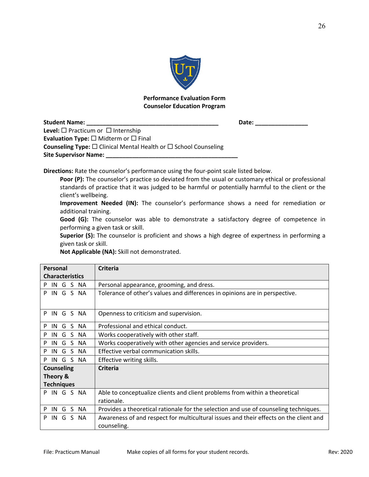

## **Performance Evaluation Form Counselor Education Program**

| <b>Student Name:</b>                                                                    | Date: |
|-----------------------------------------------------------------------------------------|-------|
| <b>Level:</b> $\Box$ Practicum or $\Box$ Internship                                     |       |
| <b>Evaluation Type:</b> $\square$ Midterm or $\square$ Final                            |       |
| <b>Counseling Type:</b> $\square$ Clinical Mental Health or $\square$ School Counseling |       |
| <b>Site Supervisor Name:</b>                                                            |       |

**Directions:** Rate the counselor's performance using the four-point scale listed below.

Poor (P): The counselor's practice so deviated from the usual or customary ethical or professional standards of practice that it was judged to be harmful or potentially harmful to the client or the client's wellbeing.

**Improvement Needed (IN):** The counselor's performance shows a need for remediation or additional training.

**Good (G):** The counselor was able to demonstrate a satisfactory degree of competence in performing a given task or skill.

**Superior (S):** The counselor is proficient and shows a high degree of expertness in performing a given task or skill.

**Not Applicable (NA):** Skill not demonstrated.

| Personal               | <b>Criteria</b>                                                                       |
|------------------------|---------------------------------------------------------------------------------------|
| <b>Characteristics</b> |                                                                                       |
| S NA<br>IN.<br>P<br>G  | Personal appearance, grooming, and dress.                                             |
| IN G S NA<br>P         | Tolerance of other's values and differences in opinions are in perspective.           |
| IN G S NA<br>P         | Openness to criticism and supervision.                                                |
| S NA<br>IN<br>P<br>G   | Professional and ethical conduct.                                                     |
| G<br>S NA<br>P<br>IN   | Works cooperatively with other staff.                                                 |
| S NA<br>P<br>IN.<br>G  | Works cooperatively with other agencies and service providers.                        |
| S NA<br>G<br>P<br>IN   | Effective verbal communication skills.                                                |
| S NA<br>G<br>P<br>IN   | Effective writing skills.                                                             |
| <b>Counseling</b>      | Criteria                                                                              |
| Theory &               |                                                                                       |
| <b>Techniques</b>      |                                                                                       |
| IN G S NA<br>P         | Able to conceptualize clients and client problems from within a theoretical           |
|                        | rationale.                                                                            |
| S NA<br>P<br>IN.<br>G  | Provides a theoretical rationale for the selection and use of counseling techniques.  |
| S NA<br>P<br>IN<br>G   | Awareness of and respect for multicultural issues and their effects on the client and |
|                        | counseling.                                                                           |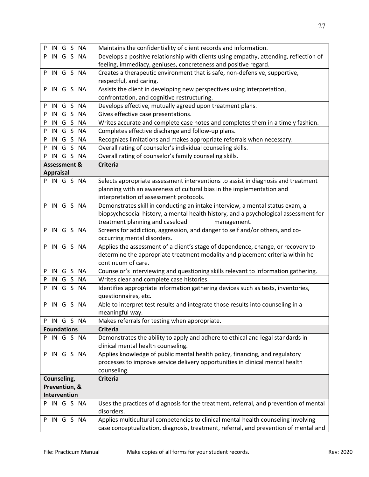|                           | case conceptualization, diagnosis, treatment, referral, and prevention of mental and  |
|---------------------------|---------------------------------------------------------------------------------------|
| P IN G S NA               | Applies multicultural competencies to clinical mental health counseling involving     |
|                           | disorders.                                                                            |
| P IN G S NA               | Uses the practices of diagnosis for the treatment, referral, and prevention of mental |
| Intervention              |                                                                                       |
| Prevention, &             |                                                                                       |
| Counseling,               | <b>Criteria</b>                                                                       |
|                           | counseling.                                                                           |
|                           | processes to improve service delivery opportunities in clinical mental health         |
| P IN G S NA               | Applies knowledge of public mental health policy, financing, and regulatory           |
|                           | clinical mental health counseling.                                                    |
| P IN G S NA               | Demonstrates the ability to apply and adhere to ethical and legal standards in        |
| <b>Foundations</b>        | <b>Criteria</b>                                                                       |
| P IN G S NA               | Makes referrals for testing when appropriate.                                         |
|                           | meaningful way.                                                                       |
| P IN G S NA               | Able to interpret test results and integrate those results into counseling in a       |
|                           | questionnaires, etc.                                                                  |
| P IN G S NA               | Identifies appropriate information gathering devices such as tests, inventories,      |
| P IN G S NA               | Writes clear and complete case histories.                                             |
| P IN G S NA               | Counselor's interviewing and questioning skills relevant to information gathering.    |
|                           | continuum of care.                                                                    |
|                           | determine the appropriate treatment modality and placement criteria within he         |
| P IN G S NA               | Applies the assessment of a client's stage of dependence, change, or recovery to      |
|                           | occurring mental disorders.                                                           |
| P IN G S NA               | Screens for addiction, aggression, and danger to self and/or others, and co-          |
|                           | treatment planning and caseload<br>management.                                        |
|                           | biopsychosocial history, a mental health history, and a psychological assessment for  |
| P IN G S NA               | Demonstrates skill in conducting an intake interview, a mental status exam, a         |
|                           | interpretation of assessment protocols.                                               |
|                           | planning with an awareness of cultural bias in the implementation and                 |
| P IN G S NA               | Selects appropriate assessment interventions to assist in diagnosis and treatment     |
| <b>Appraisal</b>          |                                                                                       |
| <b>Assessment &amp;</b>   | <b>Criteria</b>                                                                       |
| P IN G S NA               | Overall rating of counselor's family counseling skills.                               |
| P IN G S<br><b>NA</b>     | Overall rating of counselor's individual counseling skills.                           |
| IN G S<br><b>NA</b><br>P  | Recognizes limitations and makes appropriate referrals when necessary.                |
| IN G S<br><b>NA</b><br>P. | Completes effective discharge and follow-up plans.                                    |
| P IN G S NA               | Writes accurate and complete case notes and completes them in a timely fashion.       |
| P IN G S NA               | Gives effective case presentations.                                                   |
| P IN G S NA               | Develops effective, mutually agreed upon treatment plans.                             |
|                           | confrontation, and cognitive restructuring.                                           |
| P IN G S NA               | Assists the client in developing new perspectives using interpretation,               |
|                           | respectful, and caring.                                                               |
| P IN G S NA               | Creates a therapeutic environment that is safe, non-defensive, supportive,            |
|                           | feeling, immediacy, geniuses, concreteness and positive regard.                       |
| P IN G S NA               | Develops a positive relationship with clients using empathy, attending, reflection of |
| P IN G S NA               | Maintains the confidentiality of client records and information.                      |
|                           |                                                                                       |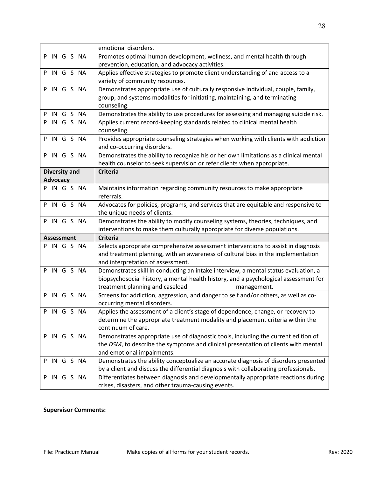|                      | emotional disorders.                                                                                                                     |
|----------------------|------------------------------------------------------------------------------------------------------------------------------------------|
| P IN G S NA          | Promotes optimal human development, wellness, and mental health through                                                                  |
|                      | prevention, education, and advocacy activities.                                                                                          |
| P IN G S NA          | Applies effective strategies to promote client understanding of and access to a                                                          |
|                      | variety of community resources.                                                                                                          |
| P IN G S NA          | Demonstrates appropriate use of culturally responsive individual, couple, family,                                                        |
|                      | group, and systems modalities for initiating, maintaining, and terminating                                                               |
|                      | counseling.                                                                                                                              |
| P IN G S NA          | Demonstrates the ability to use procedures for assessing and managing suicide risk.                                                      |
| P IN G S NA          | Applies current record-keeping standards related to clinical mental health                                                               |
|                      | counseling.                                                                                                                              |
| P IN G S NA          | Provides appropriate counseling strategies when working with clients with addiction                                                      |
|                      | and co-occurring disorders.                                                                                                              |
| P IN G S NA          | Demonstrates the ability to recognize his or her own limitations as a clinical mental                                                    |
|                      | health counselor to seek supervision or refer clients when appropriate.                                                                  |
| <b>Diversity and</b> | <b>Criteria</b>                                                                                                                          |
| <b>Advocacy</b>      |                                                                                                                                          |
| P IN G S NA          | Maintains information regarding community resources to make appropriate                                                                  |
|                      | referrals.                                                                                                                               |
| P IN G S NA          | Advocates for policies, programs, and services that are equitable and responsive to                                                      |
|                      | the unique needs of clients.                                                                                                             |
|                      |                                                                                                                                          |
| P IN G S NA          | Demonstrates the ability to modify counseling systems, theories, techniques, and                                                         |
|                      | interventions to make them culturally appropriate for diverse populations.                                                               |
| <b>Assessment</b>    | <b>Criteria</b>                                                                                                                          |
| P IN G S NA          | Selects appropriate comprehensive assessment interventions to assist in diagnosis                                                        |
|                      | and treatment planning, with an awareness of cultural bias in the implementation                                                         |
|                      | and interpretation of assessment.                                                                                                        |
| P IN G S NA          | Demonstrates skill in conducting an intake interview, a mental status evaluation, a                                                      |
|                      | biopsychosocial history, a mental health history, and a psychological assessment for                                                     |
|                      | treatment planning and caseload<br>management.                                                                                           |
| P IN G S NA          | Screens for addiction, aggression, and danger to self and/or others, as well as co-                                                      |
|                      | occurring mental disorders.                                                                                                              |
| P IN G S NA          | Applies the assessment of a client's stage of dependence, change, or recovery to                                                         |
|                      | determine the appropriate treatment modality and placement criteria within the                                                           |
|                      | continuum of care.                                                                                                                       |
| P IN G S NA          | Demonstrates appropriate use of diagnostic tools, including the current edition of                                                       |
|                      | the DSM, to describe the symptoms and clinical presentation of clients with mental                                                       |
|                      | and emotional impairments.                                                                                                               |
| IN G S NA<br>P       | Demonstrates the ability conceptualize an accurate diagnosis of disorders presented                                                      |
|                      | by a client and discuss the differential diagnosis with collaborating professionals.                                                     |
| IN G S NA<br>P       | Differentiates between diagnosis and developmentally appropriate reactions during<br>crises, disasters, and other trauma-causing events. |

# **Supervisor Comments:**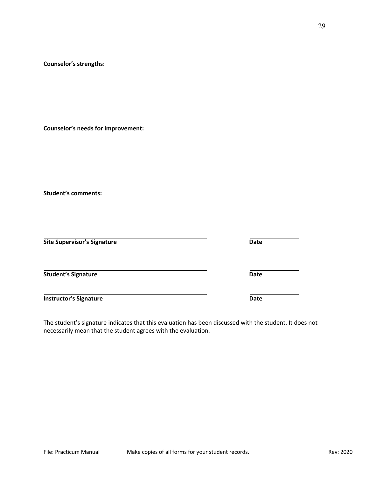#### **Counselor's strengths:**

**Counselor's needs for improvement:**

**Student's comments:**

| <b>Site Supervisor's Signature</b> | <b>Date</b> |
|------------------------------------|-------------|
| <b>Student's Signature</b>         | <b>Date</b> |
| <b>Instructor's Signature</b>      | <b>Date</b> |

The student's signature indicates that this evaluation has been discussed with the student. It does not necessarily mean that the student agrees with the evaluation.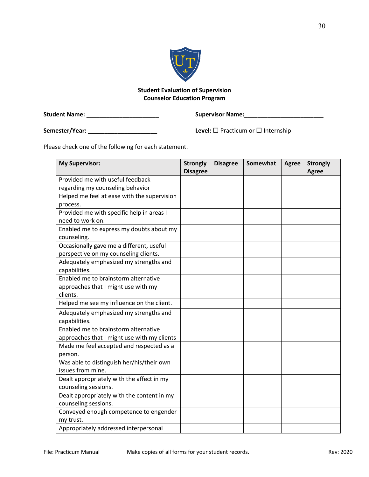

# **Student Evaluation of Supervision Counselor Education Program**

**Student Name: \_\_\_\_\_\_\_\_\_\_\_\_\_\_\_\_\_\_\_\_\_\_ Supervisor Name:\_\_\_\_\_\_\_\_\_\_\_\_\_\_\_\_\_\_\_\_\_\_\_\_**

**Semester/Year: \_\_\_\_\_\_\_\_\_\_\_\_\_\_\_\_\_\_\_\_\_ Level:** ¨ Practicum or ¨ Internship

Please check one of the following for each statement.

| <b>My Supervisor:</b>                                   | <b>Strongly</b><br><b>Disagree</b> | <b>Disagree</b> | Somewhat | <b>Agree</b> | <b>Strongly</b><br><b>Agree</b> |
|---------------------------------------------------------|------------------------------------|-----------------|----------|--------------|---------------------------------|
| Provided me with useful feedback                        |                                    |                 |          |              |                                 |
| regarding my counseling behavior                        |                                    |                 |          |              |                                 |
| Helped me feel at ease with the supervision             |                                    |                 |          |              |                                 |
| process.                                                |                                    |                 |          |              |                                 |
| Provided me with specific help in areas I               |                                    |                 |          |              |                                 |
| need to work on.                                        |                                    |                 |          |              |                                 |
| Enabled me to express my doubts about my                |                                    |                 |          |              |                                 |
| counseling.                                             |                                    |                 |          |              |                                 |
| Occasionally gave me a different, useful                |                                    |                 |          |              |                                 |
| perspective on my counseling clients.                   |                                    |                 |          |              |                                 |
| Adequately emphasized my strengths and                  |                                    |                 |          |              |                                 |
| capabilities.                                           |                                    |                 |          |              |                                 |
| Enabled me to brainstorm alternative                    |                                    |                 |          |              |                                 |
| approaches that I might use with my<br>clients.         |                                    |                 |          |              |                                 |
| Helped me see my influence on the client.               |                                    |                 |          |              |                                 |
|                                                         |                                    |                 |          |              |                                 |
| Adequately emphasized my strengths and<br>capabilities. |                                    |                 |          |              |                                 |
| Enabled me to brainstorm alternative                    |                                    |                 |          |              |                                 |
| approaches that I might use with my clients             |                                    |                 |          |              |                                 |
| Made me feel accepted and respected as a                |                                    |                 |          |              |                                 |
| person.                                                 |                                    |                 |          |              |                                 |
| Was able to distinguish her/his/their own               |                                    |                 |          |              |                                 |
| issues from mine.                                       |                                    |                 |          |              |                                 |
| Dealt appropriately with the affect in my               |                                    |                 |          |              |                                 |
| counseling sessions.                                    |                                    |                 |          |              |                                 |
| Dealt appropriately with the content in my              |                                    |                 |          |              |                                 |
| counseling sessions.                                    |                                    |                 |          |              |                                 |
| Conveyed enough competence to engender                  |                                    |                 |          |              |                                 |
| my trust.                                               |                                    |                 |          |              |                                 |
| Appropriately addressed interpersonal                   |                                    |                 |          |              |                                 |